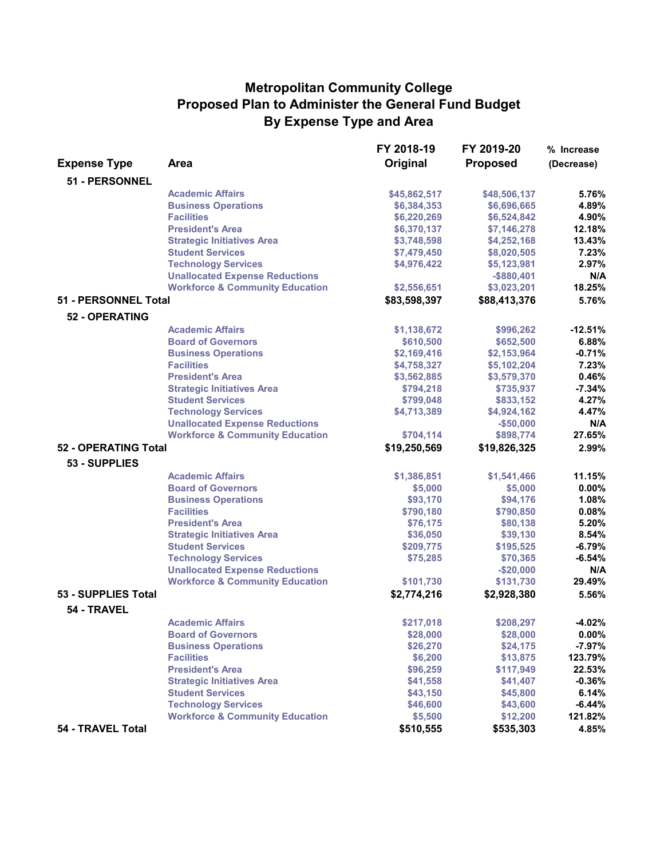## **Metropolitan Community College Proposed Plan to Administer the General Fund Budget By Expense Type and Area**

|                      |                                            | FY 2018-19   | FY 2019-20      | % Increase |
|----------------------|--------------------------------------------|--------------|-----------------|------------|
| <b>Expense Type</b>  | <b>Area</b>                                | Original     | <b>Proposed</b> | (Decrease) |
| 51 - PERSONNEL       |                                            |              |                 |            |
|                      | <b>Academic Affairs</b>                    | \$45,862,517 | \$48,506,137    | 5.76%      |
|                      | <b>Business Operations</b>                 | \$6,384,353  | \$6,696,665     | 4.89%      |
|                      | <b>Facilities</b>                          | \$6,220,269  | \$6,524,842     | 4.90%      |
|                      | <b>President's Area</b>                    | \$6,370,137  | \$7,146,278     | 12.18%     |
|                      | <b>Strategic Initiatives Area</b>          | \$3,748,598  | \$4,252,168     | 13.43%     |
|                      | <b>Student Services</b>                    | \$7,479,450  | \$8,020,505     | 7.23%      |
|                      | <b>Technology Services</b>                 | \$4,976,422  | \$5,123,981     | 2.97%      |
|                      | <b>Unallocated Expense Reductions</b>      |              | $-$ \$880,401   | N/A        |
|                      | <b>Workforce &amp; Community Education</b> | \$2,556,651  | \$3,023,201     | 18.25%     |
| 51 - PERSONNEL Total |                                            | \$83,598,397 | \$88,413,376    | 5.76%      |
| 52 - OPERATING       |                                            |              |                 |            |
|                      | <b>Academic Affairs</b>                    | \$1,138,672  | \$996,262       | $-12.51%$  |
|                      | <b>Board of Governors</b>                  | \$610,500    | \$652,500       | 6.88%      |
|                      | <b>Business Operations</b>                 | \$2,169,416  | \$2,153,964     | $-0.71%$   |
|                      | <b>Facilities</b>                          | \$4,758,327  | \$5,102,204     | 7.23%      |
|                      | <b>President's Area</b>                    | \$3,562,885  | \$3,579,370     | 0.46%      |
|                      | <b>Strategic Initiatives Area</b>          | \$794,218    | \$735,937       | $-7.34%$   |
|                      | <b>Student Services</b>                    | \$799,048    | \$833,152       | 4.27%      |
|                      | <b>Technology Services</b>                 | \$4,713,389  | \$4,924,162     | 4.47%      |
|                      | <b>Unallocated Expense Reductions</b>      |              | $-$50,000$      | N/A        |
|                      | <b>Workforce &amp; Community Education</b> | \$704,114    | \$898,774       | 27.65%     |
| 52 - OPERATING Total |                                            | \$19,250,569 | \$19,826,325    | 2.99%      |
| 53 - SUPPLIES        |                                            |              |                 |            |
|                      | <b>Academic Affairs</b>                    | \$1,386,851  | \$1,541,466     | 11.15%     |
|                      | <b>Board of Governors</b>                  | \$5,000      | \$5,000         | 0.00%      |
|                      | <b>Business Operations</b>                 | \$93,170     | \$94,176        | 1.08%      |
|                      | <b>Facilities</b>                          | \$790,180    | \$790,850       | 0.08%      |
|                      | <b>President's Area</b>                    | \$76,175     | \$80,138        | 5.20%      |
|                      | <b>Strategic Initiatives Area</b>          | \$36,050     | \$39,130        | 8.54%      |
|                      | <b>Student Services</b>                    | \$209,775    | \$195,525       | $-6.79%$   |
|                      | <b>Technology Services</b>                 | \$75,285     | \$70,365        | $-6.54%$   |
|                      | <b>Unallocated Expense Reductions</b>      |              | $-$20,000$      | N/A        |
|                      | <b>Workforce &amp; Community Education</b> | \$101,730    | \$131,730       | 29.49%     |
| 53 - SUPPLIES Total  |                                            | \$2,774,216  | \$2,928,380     | 5.56%      |
| 54 - TRAVEL          |                                            |              |                 |            |
|                      | <b>Academic Affairs</b>                    | \$217,018    | \$208,297       | $-4.02%$   |
|                      | <b>Board of Governors</b>                  | \$28,000     | \$28,000        | $0.00\%$   |
|                      | <b>Business Operations</b>                 | \$26,270     | \$24,175        | $-7.97%$   |
|                      | <b>Facilities</b>                          | \$6,200      | \$13,875        | 123.79%    |
|                      | <b>President's Area</b>                    | \$96,259     | \$117,949       | 22.53%     |
|                      | <b>Strategic Initiatives Area</b>          | \$41,558     | \$41,407        | $-0.36%$   |
|                      | <b>Student Services</b>                    | \$43,150     | \$45,800        | 6.14%      |
|                      | <b>Technology Services</b>                 | \$46,600     | \$43,600        | $-6.44%$   |
|                      | <b>Workforce &amp; Community Education</b> | \$5,500      | \$12,200        | 121.82%    |
| 54 - TRAVEL Total    |                                            | \$510,555    | \$535,303       | 4.85%      |